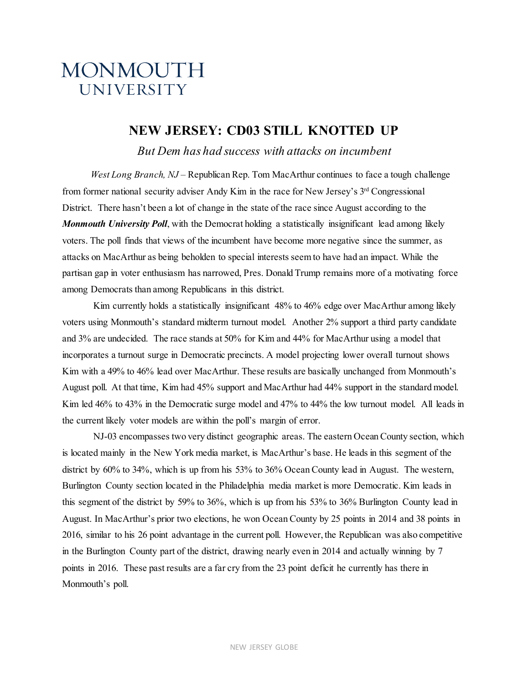# MONMOUTH **UNIVERSITY**

## **NEW JERSEY: CD03 STILL KNOTTED UP**

*But Dem has had success with attacks on incumbent*

 *West Long Branch, NJ* – Republican Rep. Tom MacArthur continues to face a tough challenge from former national security adviser Andy Kim in the race for New Jersey's 3rd Congressional District. There hasn't been a lot of change in the state of the race since August according to the *Monmouth University Poll*, with the Democrat holding a statistically insignificant lead among likely voters. The poll finds that views of the incumbent have become more negative since the summer, as attacks on MacArthur as being beholden to special interests seem to have had an impact. While the partisan gap in voter enthusiasm has narrowed, Pres. Donald Trump remains more of a motivating force among Democrats than among Republicans in this district.

Kim currently holds a statistically insignificant 48% to 46% edge over MacArthur among likely voters using Monmouth's standard midterm turnout model. Another 2% support a third party candidate and 3% are undecided. The race stands at 50% for Kim and 44% for MacArthur using a model that incorporates a turnout surge in Democratic precincts. A model projecting lower overall turnout shows Kim with a 49% to 46% lead over MacArthur. These results are basically unchanged from Monmouth's August poll. At that time, Kim had 45% support and MacArthur had 44% support in the standard model. Kim led 46% to 43% in the Democratic surge model and 47% to 44% the low turnout model. All leads in the current likely voter models are within the poll's margin of error.

NJ-03 encompasses two very distinct geographic areas. The eastern Ocean County section, which is located mainly in the New York media market, is MacArthur's base. He leads in this segment of the district by 60% to 34%, which is up from his 53% to 36% Ocean County lead in August. The western, Burlington County section located in the Philadelphia media market is more Democratic. Kim leads in this segment of the district by 59% to 36%, which is up from his 53% to 36% Burlington County lead in August. In MacArthur's prior two elections, he won Ocean County by 25 points in 2014 and 38 points in 2016, similar to his 26 point advantage in the current poll. However, the Republican was also competitive in the Burlington County part of the district, drawing nearly even in 2014 and actually winning by 7 points in 2016. These past results are a far cry from the 23 point deficit he currently has there in Monmouth's poll.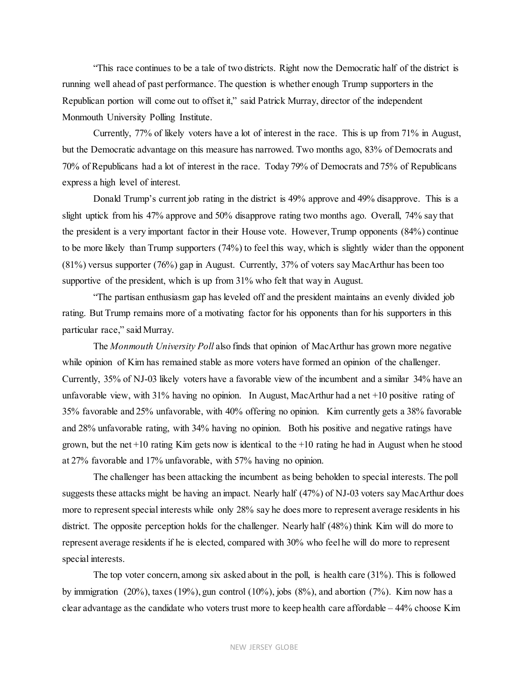"This race continues to be a tale of two districts. Right now the Democratic half of the district is running well ahead of past performance. The question is whether enough Trump supporters in the Republican portion will come out to offset it," said Patrick Murray, director of the independent Monmouth University Polling Institute.

Currently, 77% of likely voters have a lot of interest in the race. This is up from 71% in August, but the Democratic advantage on this measure has narrowed. Two months ago, 83% of Democrats and 70% of Republicans had a lot of interest in the race. Today 79% of Democrats and 75% of Republicans express a high level of interest.

Donald Trump's current job rating in the district is 49% approve and 49% disapprove. This is a slight uptick from his 47% approve and 50% disapprove rating two months ago. Overall, 74% say that the president is a very important factor in their House vote. However, Trump opponents (84%) continue to be more likely than Trump supporters (74%) to feel this way, which is slightly wider than the opponent (81%) versus supporter (76%) gap in August. Currently, 37% of voters say MacArthur has been too supportive of the president, which is up from  $31\%$  who felt that way in August.

"The partisan enthusiasm gap has leveled off and the president maintains an evenly divided job rating. But Trump remains more of a motivating factor for his opponents than for his supporters in this particular race," said Murray.

The *Monmouth University Poll* also finds that opinion of MacArthur has grown more negative while opinion of Kim has remained stable as more voters have formed an opinion of the challenger. Currently, 35% of NJ-03 likely voters have a favorable view of the incumbent and a similar 34% have an unfavorable view, with 31% having no opinion. In August, MacArthur had a net +10 positive rating of 35% favorable and 25% unfavorable, with 40% offering no opinion. Kim currently gets a 38% favorable and 28% unfavorable rating, with 34% having no opinion. Both his positive and negative ratings have grown, but the net  $+10$  rating Kim gets now is identical to the  $+10$  rating he had in August when he stood at 27% favorable and 17% unfavorable, with 57% having no opinion.

The challenger has been attacking the incumbent as being beholden to special interests. The poll suggests these attacks might be having an impact. Nearly half (47%) of NJ-03 voters say MacArthur does more to represent special interests while only 28% say he does more to represent average residents in his district. The opposite perception holds for the challenger. Nearly half (48%) think Kim will do more to represent average residents if he is elected, compared with 30% who feel he will do more to represent special interests.

The top voter concern, among six asked about in the poll, is health care (31%). This is followed by immigration (20%), taxes (19%), gun control (10%), jobs (8%), and abortion (7%). Kim now has a clear advantage as the candidate who voters trust more to keep health care affordable – 44% choose Kim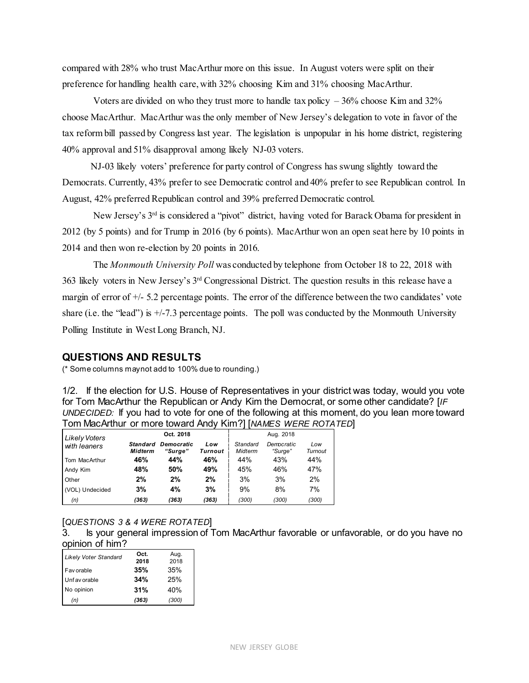compared with 28% who trust MacArthur more on this issue. In August voters were split on their preference for handling health care, with 32% choosing Kim and 31% choosing MacArthur.

Voters are divided on who they trust more to handle tax policy  $-36\%$  choose Kim and 32% choose MacArthur. MacArthur was the only member of New Jersey's delegation to vote in favor of the tax reform bill passed by Congress last year. The legislation is unpopular in his home district, registering 40% approval and 51% disapproval among likely NJ-03 voters.

 NJ-03 likely voters' preference for party control of Congress has swung slightly toward the Democrats. Currently, 43% prefer to see Democratic control and 40% prefer to see Republican control. In August, 42% preferred Republican control and 39% preferred Democratic control.

New Jersey's  $3<sup>rd</sup>$  is considered a "pivot" district, having voted for Barack Obama for president in 2012 (by 5 points) and for Trump in 2016 (by 6 points). MacArthur won an open seat here by 10 points in 2014 and then won re-election by 20 points in 2016.

The *Monmouth University Poll* was conducted by telephone from October 18 to 22, 2018 with 363 likely voters in New Jersey's 3rd Congressional District. The question results in this release have a margin of error of  $+/-$  5.2 percentage points. The error of the difference between the two candidates' vote share (i.e. the "lead") is  $+/-7.3$  percentage points. The poll was conducted by the Monmouth University Polling Institute in West Long Branch, NJ.

#### **QUESTIONS AND RESULTS**

(\* Some columns may not add to 100% due to rounding.)

1/2. If the election for U.S. House of Representatives in your district was today, would you vote for Tom MacArthur the Republican or Andy Kim the Democrat, or some other candidate? [*IF UNDECIDED:* If you had to vote for one of the following at this moment, do you lean more toward Tom MacArthur or more toward Andy Kim?] [*NAMES WERE ROTATED*]

| Likely Voters   |                     | Oct. 2018                    |                |                     | Aug. 2018             |                |
|-----------------|---------------------|------------------------------|----------------|---------------------|-----------------------|----------------|
| with leaners    | Standard<br>Midterm | <b>Democratic</b><br>"Surae" | Low<br>Turnout | Standard<br>Midterm | Democratic<br>"Surge" | Low<br>Turnout |
| Tom MacArthur   | 46%                 | 44%                          | 46%            | 44%                 | 43%                   | 44%            |
| Andy Kim        | 48%                 | 50%                          | 49%            | 45%                 | 46%                   | 47%            |
| Other           | 2%                  | 2%                           | 2%             | 3%                  | 3%                    | 2%             |
| (VOL) Undecided | 3%                  | 4%                           | 3%             | 9%                  | 8%                    | 7%             |
| (n)             | (363)               | (363)                        | (363)          | (300)               | (300)                 | (300)          |

#### [*QUESTIONS 3 & 4 WERE ROTATED*]

3. Is your general impression of Tom MacArthur favorable or unfavorable, or do you have no opinion of him?

| <b>Likely Voter Standard</b> | Oct.<br>2018 | Aug.<br>2018 |
|------------------------------|--------------|--------------|
| Fav orable                   | 35%          | 35%          |
| Unf av orable                | 34%          | 25%          |
| No opinion                   | 31%          | 40%          |
| (n)                          | (363)        | (300)        |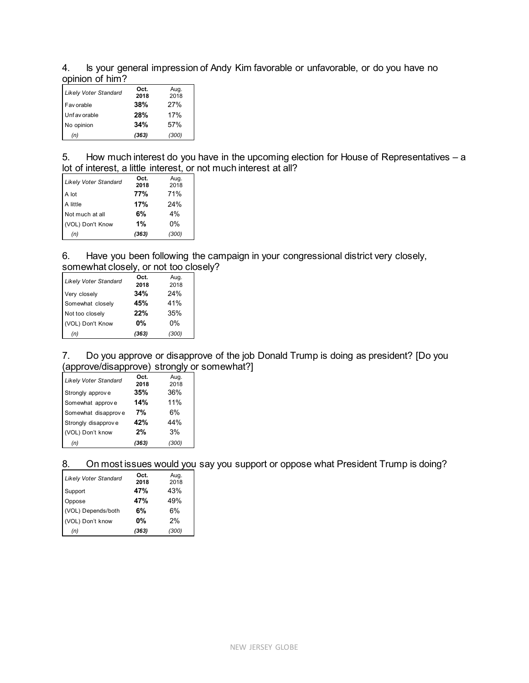4. Is your general impression of Andy Kim favorable or unfavorable, or do you have no opinion of him?

| <b>Likely Voter Standard</b> | Oct.<br>2018 | Aug.<br>2018 |
|------------------------------|--------------|--------------|
| Fav orable                   | 38%          | 27%          |
| Unf av orable                | 28%          | 17%          |
| No opinion                   | 34%          | 57%          |
| (n)                          | (363)        | (300)        |

5. How much interest do you have in the upcoming election for House of Representatives – a lot of interest, a little interest, or not much interest at all?

| <b>Likely Voter Standard</b> | Oct.<br>2018 | Aug.<br>2018 |
|------------------------------|--------------|--------------|
| A lot                        | 77%          | 71%          |
| A little                     | 17%          | 24%          |
| Not much at all              | 6%           | 4%           |
| (VOL) Don't Know             | 1%           | 0%           |
| (n)                          | (363)        | (300)        |

6. Have you been following the campaign in your congressional district very closely, somewhat closely, or not too closely?

| <b>Likely Voter Standard</b> | Oct.<br>2018 | Aug.<br>2018 |
|------------------------------|--------------|--------------|
| Very closely                 | 34%          | 24%          |
| Somewhat closely             | 45%          | 41%          |
| Not too closely              | 22%          | 35%          |
| (VOL) Don't Know             | 0%           | 0%           |
| (n)                          | (363)        | (300)        |

7. Do you approve or disapprove of the job Donald Trump is doing as president? [Do you (approve/disapprove) strongly or somewhat?]

| <b>Likely Voter Standard</b> | Oct.  | Aug.  |
|------------------------------|-------|-------|
|                              | 2018  | 2018  |
| Strongly approve             | 35%   | 36%   |
| Somewhat approve             | 14%   | 11%   |
| Somewhat disapprove          | 7%    | 6%    |
| Strongly disapprove          | 42%   | 44%   |
| (VOL) Don't know             | 2%    | 3%    |
| (n)                          | (363) | (300) |

8. On most issues would you say you support or oppose what President Trump is doing?

| <b>Likely Voter Standard</b> | Oct.<br>2018 | Aug.<br>2018 |
|------------------------------|--------------|--------------|
| Support                      | 47%          | 43%          |
| Oppose                       | 47%          | 49%          |
| (VOL) Depends/both           | 6%           | 6%           |
| (VOL) Don't know             | 0%           | 2%           |
| (n)                          | (363)        | (300)        |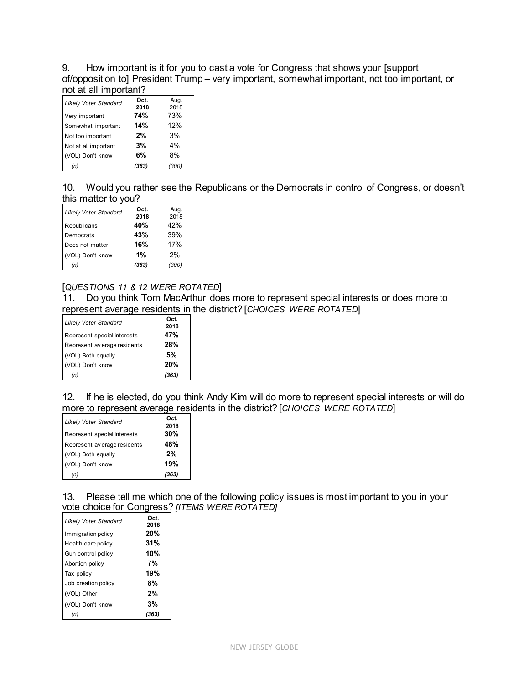9. How important is it for you to cast a vote for Congress that shows your [support of/opposition to] President Trump – very important, somewhat important, not too important, or not at all important?

| <b>Likely Voter Standard</b> | Oct.<br>2018 | Aug.<br>2018 |
|------------------------------|--------------|--------------|
| Very important               | 74%          | 73%          |
| Somewhat important           | 14%          | 12%          |
| Not too important            | 2%           | 3%           |
| Not at all important         | 3%           | 4%           |
| (VOL) Don't know             | 6%           | 8%           |
| (n)                          | (363)        | (300)        |

10. Would you rather see the Republicans or the Democrats in control of Congress, or doesn't this matter to you?

| <b>Likely Voter Standard</b> | Oct.<br>2018 | Aug.<br>2018 |
|------------------------------|--------------|--------------|
| Republicans                  | 40%          | 42%          |
| Democrats                    | 43%          | 39%          |
| Does not matter              | 16%          | 17%          |
| (VOL) Don't know             | 1%           | 2%           |
| (n)                          | (363)        | (300)        |

### [*QUESTIONS 11 & 12 WERE ROTATED*]

11. Do you think Tom MacArthur does more to represent special interests or does more to represent average residents in the district? [*CHOICES WERE ROTATED*]

| <b>Likely Voter Standard</b> | Oct.<br>2018 |
|------------------------------|--------------|
| Represent special interests  | 47%          |
| Represent av erage residents | <b>28%</b>   |
| (VOL) Both equally           | 5%           |
| (VOL) Don't know             | 20%          |
| (n)                          | (363)        |

12. If he is elected, do you think Andy Kim will do more to represent special interests or will do more to represent average residents in the district? [*CHOICES WERE ROTATED*]

| <b>Likely Voter Standard</b> | Oct.  |
|------------------------------|-------|
|                              | 2018  |
| Represent special interests  | 30%   |
| Represent av erage residents | 48%   |
| (VOL) Both equally           | 2%    |
| (VOL) Don't know             | 19%   |
| (n)                          | (363) |

13. Please tell me which one of the following policy issues is most important to you in your vote choice for Congress? *[ITEMS WERE ROTATED]*

| Likely Voter Standard | Oct.<br>2018 |
|-----------------------|--------------|
| Immigration policy    | 20%          |
| Health care policy    | 31%          |
| Gun control policy    | 10%          |
| Abortion policy       | 7%           |
| Tax policy            | 19%          |
| Job creation policy   | 8%           |
| (VOL) Other           | 2%           |
| (VOL) Don't know      | 3%           |
|                       |              |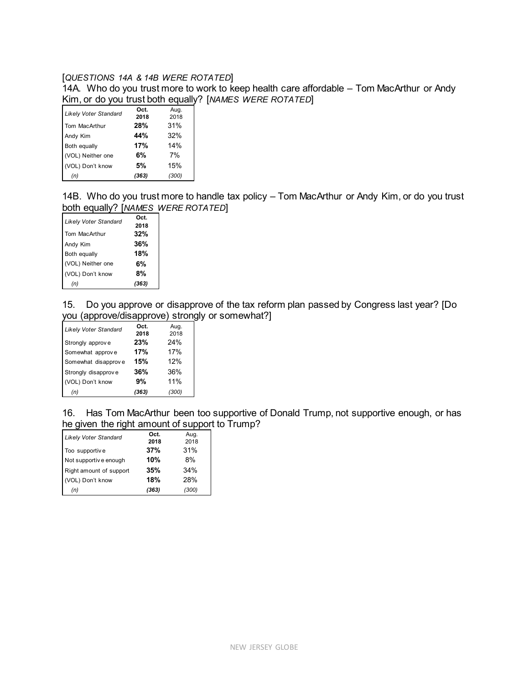#### [*QUESTIONS 14A & 14B WERE ROTATED*]

14A. Who do you trust more to work to keep health care affordable – Tom MacArthur or Andy Kim, or do you trust both equally? [*NAMES WERE ROTATED*]

| <b>Likely Voter Standard</b> | Oct.<br>2018 | Aug.<br>2018 |
|------------------------------|--------------|--------------|
| Tom MacArthur                | 28%          | 31%          |
| Andy Kim                     | 44%          | 32%          |
| Both equally                 | 17%          | 14%          |
| (VOL) Neither one            | 6%           | 7%           |
| (VOL) Don't know             | 5%           | 15%          |
| (n)                          | (363)        | (300)        |

14B. Who do you trust more to handle tax policy – Tom MacArthur or Andy Kim, or do you trust both equally? [*NAMES WERE ROTATED*]

| <b>Likely Voter Standard</b> | Oct.<br>2018 |
|------------------------------|--------------|
| Tom MacArthur                | 32%          |
| Andy Kim                     | 36%          |
| Both equally                 | 18%          |
| (VOL) Neither one            | 6%           |
| (VOL) Don't know             | 8%           |
| (n)                          | (363)        |

15. Do you approve or disapprove of the tax reform plan passed by Congress last year? [Do you (approve/disapprove) strongly or somewhat?]

| <b>Likely Voter Standard</b> | Oct.  | Aug.  |
|------------------------------|-------|-------|
|                              | 2018  | 2018  |
| Strongly approve             | 23%   | 24%   |
| Somewhat approve             | 17%   | 17%   |
| Somewhat disapprove          | 15%   | 12%   |
| Strongly disapprove          | 36%   | 36%   |
| (VOL) Don't know             | 9%    | 11%   |
| (n)                          | (363) | (300) |

16. Has Tom MacArthur been too supportive of Donald Trump, not supportive enough, or has he given the right amount of support to Trump?

| <b>Likely Voter Standard</b> | Oct.<br>2018 | Aug.<br>2018 |
|------------------------------|--------------|--------------|
| Too supportive               | 37%          | 31%          |
| Not supportive enough        | 10%          | 8%           |
| Right amount of support      | 35%          | 34%          |
| (VOL) Don't know             | 18%          | 28%          |
| (n)                          | (363)        | (300)        |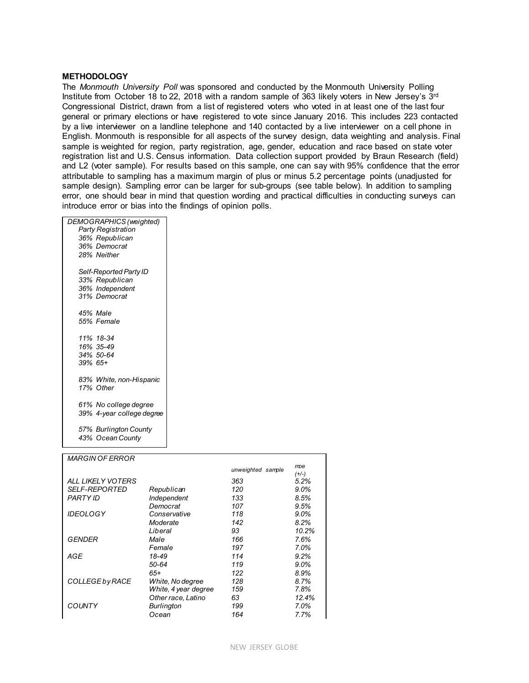#### **METHODOLOGY**

The *Monmouth University Poll* was sponsored and conducted by the Monmouth University Polling Institute from October 18 to 22, 2018 with a random sample of 363 likely voters in New Jersey's 3rd Congressional District, drawn from a list of registered voters who voted in at least one of the last four general or primary elections or have registered to vote since January 2016. This includes 223 contacted by a live interviewer on a landline telephone and 140 contacted by a live interviewer on a cell phone in English. Monmouth is responsible for all aspects of the survey design, data weighting and analysis. Final sample is weighted for region, party registration, age, gender, education and race based on state voter registration list and U.S. Census information. Data collection support provided by Braun Research (field) and L2 (voter sample). For results based on this sample, one can say with 95% confidence that the error attributable to sampling has a maximum margin of plus or minus 5.2 percentage points (unadjusted for sample design). Sampling error can be larger for sub-groups (see table below). In addition to sampling error, one should bear in mind that question wording and practical difficulties in conducting surveys can introduce error or bias into the findings of opinion polls.

| DEMOGRAPHICS (weighted)   |  |
|---------------------------|--|
| Party Registration        |  |
| 36% Republican            |  |
| 36% Democrat              |  |
| 28% Neither               |  |
| Self-Reported Party ID    |  |
| 33% Republican            |  |
| 36% Independent           |  |
| 31% Democrat              |  |
| 45% Male                  |  |
| 55% Female                |  |
|                           |  |
| 11% 18-34                 |  |
| 16% 35-49                 |  |
| 34% 50-64                 |  |
| $.39\%$ 65+               |  |
| 83% White, non-Hispanic   |  |
| 17% Other                 |  |
|                           |  |
| 61% No college degree     |  |
| 39% 4-year college degree |  |
| 57% Burlington County     |  |
| 43% Ocean County          |  |
|                           |  |

| <b>MARGIN OF ERROR</b> |                      |                   |         |
|------------------------|----------------------|-------------------|---------|
|                        |                      | unweighted sample | moe     |
|                        |                      |                   | $(+/-)$ |
| ALL LIKELY VOTERS      |                      | 363               | 5.2%    |
| <i>SELF-REPORTED</i>   | Republican           | 120               | $9.0\%$ |
| PARTY ID               | Independent          | 133               | 8.5%    |
|                        | Democrat             | 107               | 9.5%    |
| <i><b>IDEOLOGY</b></i> | Conservative         | 118               | $9.0\%$ |
|                        | Moderate             | 142               | 8.2%    |
|                        | Liberal              | 93                | 10.2%   |
| GENDER                 | Male                 | 166               | 7.6%    |
|                        | Female               | 197               | 7.0%    |
| AGE                    | 18-49                | 114               | 9.2%    |
|                        | 50-64                | 119               | $9.0\%$ |
|                        | 65+                  | 122               | 8.9%    |
| <b>COLLEGE by RACE</b> | White, No degree     | 128               | 8.7%    |
|                        | White, 4 year degree | 159               | 7.8%    |
|                        | Other race, Latino   | 63                | 12.4%   |
| COUNTY                 | <b>Burlington</b>    | 199               | 7.0%    |
|                        | Ocean                | 164               | 7.7%    |